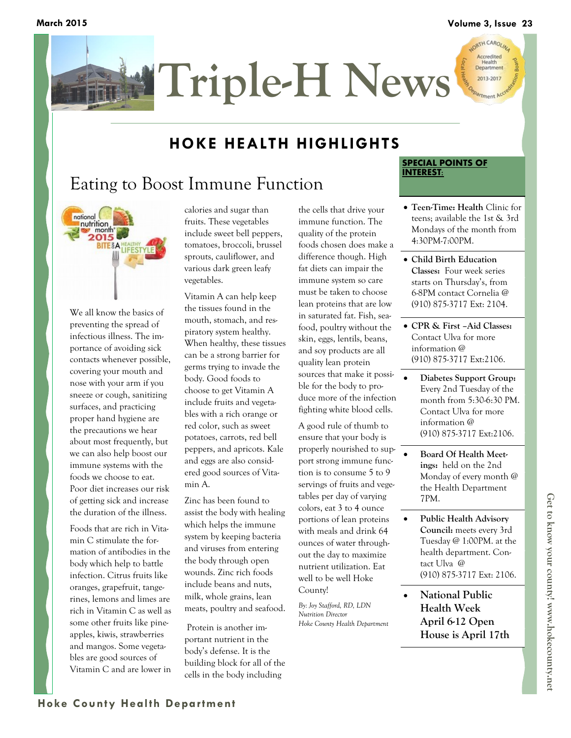

### **HOKE HEALTH HIGHLIGHTS**

# Eating to Boost Immune Function



We all know the basics of preventing the spread of infectious illness. The importance of avoiding sick contacts whenever possible, covering your mouth and nose with your arm if you sneeze or cough, sanitizing surfaces, and practicing proper hand hygiene are the precautions we hear about most frequently, but we can also help boost our immune systems with the foods we choose to eat. Poor diet increases our risk of getting sick and increase the duration of the illness.

Foods that are rich in Vitamin C stimulate the formation of antibodies in the body which help to battle infection. Citrus fruits like oranges, grapefruit, tangerines, lemons and limes are rich in Vitamin C as well as some other fruits like pineapples, kiwis, strawberries and mangos. Some vegetables are good sources of Vitamin C and are lower in

calories and sugar than fruits. These vegetables include sweet bell peppers, tomatoes, broccoli, brussel sprouts, cauliflower, and various dark green leafy vegetables.

Vitamin A can help keep the tissues found in the mouth, stomach, and respiratory system healthy. When healthy, these tissues can be a strong barrier for germs trying to invade the body. Good foods to choose to get Vitamin A include fruits and vegetables with a rich orange or red color, such as sweet potatoes, carrots, red bell peppers, and apricots. Kale and eggs are also considered good sources of Vitamin A.

Zinc has been found to assist the body with healing which helps the immune system by keeping bacteria and viruses from entering the body through open wounds. Zinc rich foods include beans and nuts, milk, whole grains, lean meats, poultry and seafood.

Protein is another important nutrient in the body's defense. It is the building block for all of the cells in the body including

the cells that drive your immune function. The quality of the protein foods chosen does make a difference though. High fat diets can impair the immune system so care must be taken to choose lean proteins that are low in saturated fat. Fish, seafood, poultry without the skin, eggs, lentils, beans, and soy products are all quality lean protein sources that make it possible for the body to produce more of the infection fighting white blood cells.

A good rule of thumb to ensure that your body is properly nourished to support strong immune function is to consume 5 to 9 servings of fruits and vegetables per day of varying colors, eat 3 to 4 ounce portions of lean proteins with meals and drink 64 ounces of water throughout the day to maximize nutrient utilization. Eat well to be well Hoke County!

*By: Joy Stafford, RD, LDN Nutrition Director Hoke County Health Department*

#### **SPECIAL POINTS OF INTEREST:**

- **Teen-Time: Health** Clinic for teens; available the 1st & 3rd Mondays of the month from 4:30PM-7:00PM.
- **Child Birth Education Classes:** Four week series starts on Thursday's, from 6-8PM contact Cornelia @ (910) 875-3717 Ext: 2104.
- **CPR & First –Aid Classes:**  Contact Ulva for more information @ (910) 875-3717 Ext:2106.
- **Diabetes Support Group:**  Every 2nd Tuesday of the month from 5:30-6:30 PM. Contact Ulva for more information @ (910) 875-3717 Ext:2106.
- **Board Of Health Meetings:** held on the 2nd Monday of every month @ the Health Department 7PM.
- **Public Health Advisory Council:** meets every 3rd Tuesday @ 1:00PM. at the health department. Contact Ulva @ (910) 875-3717 Ext: 2106.
- **National Public Health Week April 6-12 Open House is April 17th**